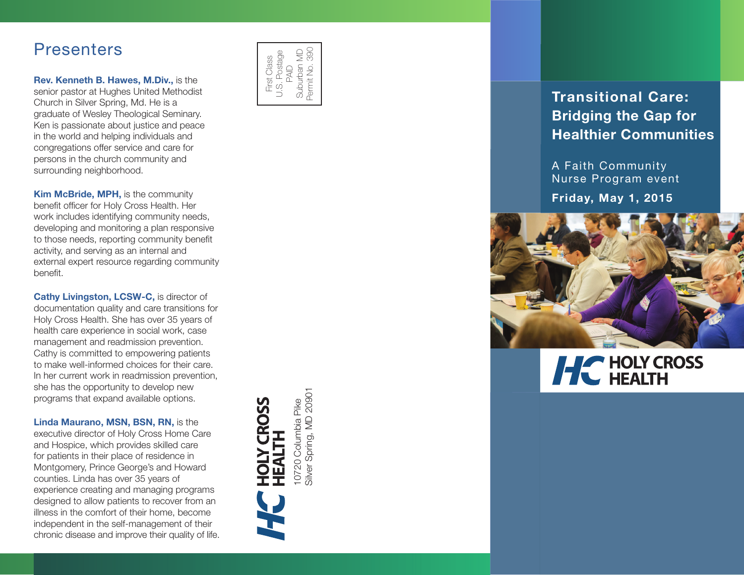## **Presenters**

Rev. Kenneth B. Hawes, M.Div., is the senior pastor at Hughes United Methodist Church in Silver Spring, Md. He is a graduate of Wesley Theological Seminary. Ken is passionate about justice and peace in the world and helping individuals and congregations offer service and care for persons in the church community and surrounding neighborhood.

**Kim McBride, MPH, is the community** benefit officer for Holy Cross Health. Her work includes identifying community needs, developing and monitoring a plan responsive to those needs, reporting community benefit activity, and serving as an internal and external expert resource regarding community **benefit** 

Cathy Livingston, LCSW-C, is director of documentation quality and care transitions for Holy Cross Health. She has over 35 years of health care experience in social work, case management and readmission prevention. Cathy is committed to empowering patients to make well-informed choices for their care. In her current work in readmission prevention, she has the opportunity to develop new programs that expand available options.

Linda Maurano, MSN, BSN, RN, is the executive director of Holy Cross Home Care and Hospice, which provides skilled care for patients in their place of residence in Montgomery, Prince George's and Howard counties. Linda has over 35 years of experience creating and managing programs designed to allow patients to recover from an illness in the comfort of their home, become independent in the self-management of their chronic disease and improve their quality of life.



### Transitional Care: Bridging the Gap for Healthier Communities

A Faith Community Nurse Program event Friday, May 1, 2015



# **HC** HOLY CROSS

Silver Spring, MD 20901 10720 Columbia Pike<br>Silver Spring, MD 20901 10720 Columbia Pike